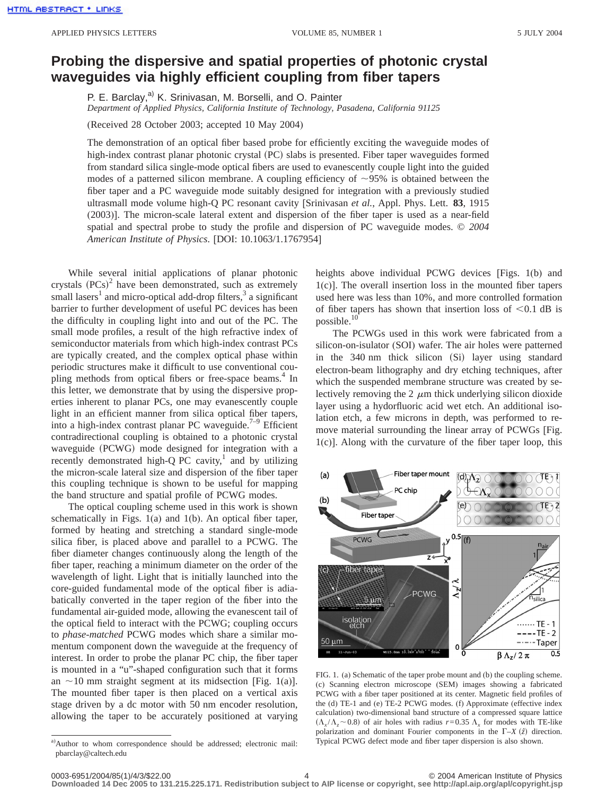## **Probing the dispersive and spatial properties of photonic crystal waveguides via highly efficient coupling from fiber tapers**

P. E. Barclay,<sup>a)</sup> K. Srinivasan, M. Borselli, and O. Painter *Department of Applied Physics, California Institute of Technology, Pasadena, California 91125*

(Received 28 October 2003; accepted 10 May 2004)

The demonstration of an optical fiber based probe for efficiently exciting the waveguide modes of high-index contrast planar photonic crystal (PC) slabs is presented. Fiber taper waveguides formed from standard silica single-mode optical fibers are used to evanescently couple light into the guided modes of a patterned silicon membrane. A coupling efficiency of  $\sim$ 95% is obtained between the fiber taper and a PC waveguide mode suitably designed for integration with a previously studied ultrasmall mode volume high-Q PC resonant cavity [Srinivasan *et al.*, Appl. Phys. Lett. **83**, 1915 (2003)]. The micron-scale lateral extent and dispersion of the fiber taper is used as a near-field spatial and spectral probe to study the profile and dispersion of PC waveguide modes. © *2004 American Institute of Physics*. [DOI: 10.1063/1.1767954]

While several initial applications of planar photonic crystals  $(PCs)^2$  have been demonstrated, such as extremely small lasers<sup>1</sup> and micro-optical add-drop filters,<sup>3</sup> a significant barrier to further development of useful PC devices has been the difficulty in coupling light into and out of the PC. The small mode profiles, a result of the high refractive index of semiconductor materials from which high-index contrast PCs are typically created, and the complex optical phase within periodic structures make it difficult to use conventional coupling methods from optical fibers or free-space beams.<sup>4</sup> In this letter, we demonstrate that by using the dispersive properties inherent to planar PCs, one may evanescently couple light in an efficient manner from silica optical fiber tapers, into a high-index contrast planar PC waveguide.<sup>7-9</sup> Efficient contradirectional coupling is obtained to a photonic crystal waveguide (PCWG) mode designed for integration with a recently demonstrated high-Q PC cavity, $1$  and by utilizing the micron-scale lateral size and dispersion of the fiber taper this coupling technique is shown to be useful for mapping the band structure and spatial profile of PCWG modes.

The optical coupling scheme used in this work is shown schematically in Figs. 1(a) and 1(b). An optical fiber taper, formed by heating and stretching a standard single-mode silica fiber, is placed above and parallel to a PCWG. The fiber diameter changes continuously along the length of the fiber taper, reaching a minimum diameter on the order of the wavelength of light. Light that is initially launched into the core-guided fundamental mode of the optical fiber is adiabatically converted in the taper region of the fiber into the fundamental air-guided mode, allowing the evanescent tail of the optical field to interact with the PCWG; coupling occurs to *phase-matched* PCWG modes which share a similar momentum component down the waveguide at the frequency of interest. In order to probe the planar PC chip, the fiber taper is mounted in a "u"-shaped configuration such that it forms an  $\sim$ 10 mm straight segment at its midsection [Fig. 1(a)]. The mounted fiber taper is then placed on a vertical axis stage driven by a dc motor with 50 nm encoder resolution, allowing the taper to be accurately positioned at varying

heights above individual PCWG devices [Figs. 1(b) and 1(c)]. The overall insertion loss in the mounted fiber tapers used here was less than 10%, and more controlled formation of fiber tapers has shown that insertion loss of  $< 0.1$  dB is possible.10

The PCWGs used in this work were fabricated from a silicon-on-isulator (SOI) wafer. The air holes were patterned in the  $340 \text{ nm}$  thick silicon (Si) layer using standard electron-beam lithography and dry etching techniques, after which the suspended membrane structure was created by selectively removing the 2  $\mu$ m thick underlying silicon dioxide layer using a hydorfluoric acid wet etch. An additional isolation etch, a few microns in depth, was performed to remove material surrounding the linear array of PCWGs [Fig. 1(c)]. Along with the curvature of the fiber taper loop, this



FIG. 1. (a) Schematic of the taper probe mount and (b) the coupling scheme. (c) Scanning electron microscope (SEM) images showing a fabricated PCWG with a fiber taper positioned at its center. Magnetic field profiles of the (d) TE-1 and (e) TE-2 PCWG modes. (f) Approximate (effective index calculation) two-dimensional band structure of a compressed square lattice  $(\Lambda_x/\Lambda_z \sim 0.8)$  of air holes with radius  $r=0.35 \Lambda_x$  for modes with TE-like polarization and dominant Fourier components in the  $\Gamma$ -*X*  $(\hat{z})$  direction. Typical PCWG defect mode and fiber taper dispersion is also shown.

a) Author to whom correspondence should be addressed; electronic mail: pbarclay@caltech.edu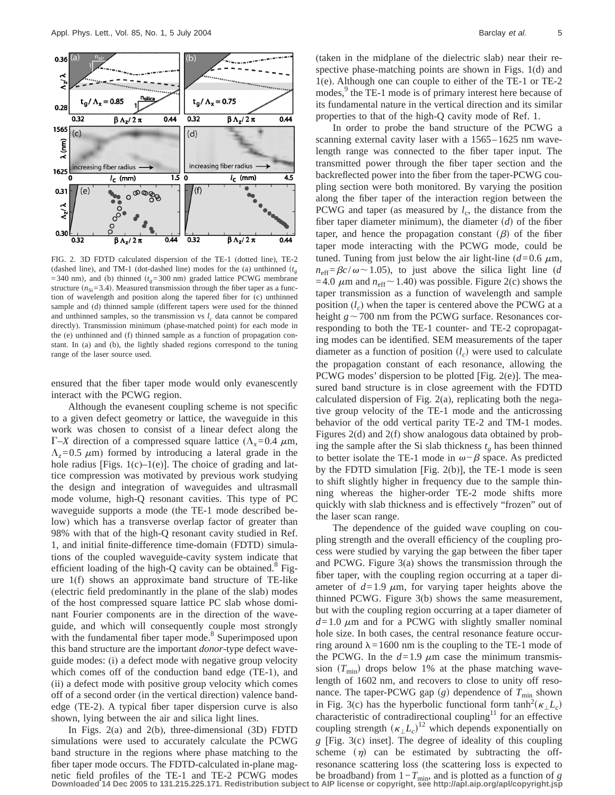

FIG. 2. 3D FDTD calculated dispersion of the TE-1 (dotted line), TE-2 (dashed line), and TM-1 (dot-dashed line) modes for the (a) unthinned  $(t<sub>g</sub>)$  $=$  340 nm), and (b) thinned  $(t<sub>a</sub>=300$  nm) graded lattice PCWG membrane structure  $(n_{\text{Si}}=3.4)$ . Measured transmission through the fiber taper as a function of wavelength and position along the tapered fiber for (c) unthinned sample and (d) thinned sample (different tapers were used for the thinned and unthinned samples, so the transmission vs  $l_c$  data cannot be compared directly). Transmission minimum (phase-matched point) for each mode in the (e) unthinned and (f) thinned sample as a function of propagation constant. In (a) and (b), the lightly shaded regions correspond to the tuning range of the laser source used.

ensured that the fiber taper mode would only evanescently interact with the PCWG region.

Although the evanesent coupling scheme is not specific to a given defect geometry or lattice, the waveguide in this work was chosen to consist of a linear defect along the  $\Gamma$ –*X* direction of a compressed square lattice ( $\Lambda$ <sub>x</sub>=0.4  $\mu$ m,  $\Lambda$ <sub>z</sub>=0.5  $\mu$ m) formed by introducing a lateral grade in the hole radius [Figs.  $1(c) - 1(e)$ ]. The choice of grading and lattice compression was motivated by previous work studying the design and integration of waveguides and ultrasmall mode volume, high-Q resonant cavities. This type of PC waveguide supports a mode (the TE-1 mode described below) which has a transverse overlap factor of greater than 98% with that of the high-Q resonant cavity studied in Ref. 1, and initial finite-difference time-domain (FDTD) simulations of the coupled waveguide-cavity system indicate that efficient loading of the high-Q cavity can be obtained.<sup>8</sup> Figure 1(f) shows an approximate band structure of TE-like (electric field predominantly in the plane of the slab) modes of the host compressed square lattice PC slab whose dominant Fourier components are in the direction of the waveguide, and which will consequently couple most strongly with the fundamental fiber taper mode.<sup>8</sup> Superimposed upon this band structure are the important *donor*-type defect waveguide modes: (i) a defect mode with negative group velocity which comes off of the conduction band edge (TE-1), and (ii) a defect mode with positive group velocity which comes off of a second order (in the vertical direction) valence bandedge (TE-2). A typical fiber taper dispersion curve is also shown, lying between the air and silica light lines.

In Figs. 2(a) and 2(b), three-dimensional (3D) FDTD simulations were used to accurately calculate the PCWG band structure in the regions where phase matching to the fiber taper mode occurs. The FDTD-calculated in-plane mag(taken in the midplane of the dielectric slab) near their respective phase-matching points are shown in Figs. 1(d) and 1(e). Although one can couple to either of the TE-1 or TE-2 modes,<sup>9</sup> the TE-1 mode is of primary interest here because of its fundamental nature in the vertical direction and its similar properties to that of the high-Q cavity mode of Ref. 1.

In order to probe the band structure of the PCWG a scanning external cavity laser with a 1565–1625 nm wavelength range was connected to the fiber taper input. The transmitted power through the fiber taper section and the backreflected power into the fiber from the taper-PCWG coupling section were both monitored. By varying the position along the fiber taper of the interaction region between the PCWG and taper (as measured by  $l_c$ , the distance from the fiber taper diameter minimum), the diameter  $(d)$  of the fiber taper, and hence the propagation constant  $(\beta)$  of the fiber taper mode interacting with the PCWG mode, could be tuned. Tuning from just below the air light-line  $(d=0.6 \mu m,$  $n_{\text{eff}} = \beta c/\omega \sim 1.05$ ), to just above the silica light line (*d* =4.0  $\mu$ m and  $n_{\text{eff}}$  ~ 1.40) was possible. Figure 2(c) shows the taper transmission as a function of wavelength and sample position  $(l<sub>c</sub>)$  when the taper is centered above the PCWG at a height  $g \sim 700$  nm from the PCWG surface. Resonances corresponding to both the TE-1 counter- and TE-2 copropagating modes can be identified. SEM measurements of the taper diameter as a function of position  $(l_c)$  were used to calculate the propagation constant of each resonance, allowing the PCWG modes' dispersion to be plotted [Fig. 2(e)]. The measured band structure is in close agreement with the FDTD calculated dispersion of Fig. 2(a), replicating both the negative group velocity of the TE-1 mode and the anticrossing behavior of the odd vertical parity TE-2 and TM-1 modes. Figures 2(d) and 2(f) show analogous data obtained by probing the sample after the Si slab thickness  $t_g$  has been thinned to better isolate the TE-1 mode in  $\omega-\beta$  space. As predicted by the FDTD simulation [Fig. 2(b)], the TE-1 mode is seen to shift slightly higher in frequency due to the sample thinning whereas the higher-order TE-2 mode shifts more quickly with slab thickness and is effectively "frozen" out of the laser scan range.

The dependence of the guided wave coupling on coupling strength and the overall efficiency of the coupling process were studied by varying the gap between the fiber taper and PCWG. Figure 3(a) shows the transmission through the fiber taper, with the coupling region occurring at a taper diameter of  $d=1.9 \mu m$ , for varying taper heights above the thinned PCWG. Figure 3(b) shows the same measurement, but with the coupling region occurring at a taper diameter of  $d=1.0 \mu$ m and for a PCWG with slightly smaller nominal hole size. In both cases, the central resonance feature occurring around  $\lambda = 1600$  nm is the coupling to the TE-1 mode of the PCWG. In the  $d=1.9 \mu m$  case the minimum transmission  $(T_{\text{min}})$  drops below 1% at the phase matching wavelength of 1602 nm, and recovers to close to unity off resonance. The taper-PCWG gap  $(g)$  dependence of  $T_{\text{min}}$  shown in Fig. 3(c) has the hyperbolic functional form  $\tanh^2(\kappa_{\perp}L_c)$ characteristic of contradirectional coupling<sup>11</sup> for an effective coupling strength  $(\kappa_{\perp}L_c)^{12}$  which depends exponentially on *g* [Fig. 3(c) inset]. The degree of ideality of this coupling scheme  $(\eta)$  can be estimated by subtracting the offresonance scattering loss (the scattering loss is expected to

netic field profiles of the TE-1 and TE-2 PCWG modes be broadband) from  $1 - T_{min}$ , and is plotted as a function of g<br>Downloaded 14 Dec 2005 to 131.215.225.171. Redistribution subject to AIP license or copyright, see http:/